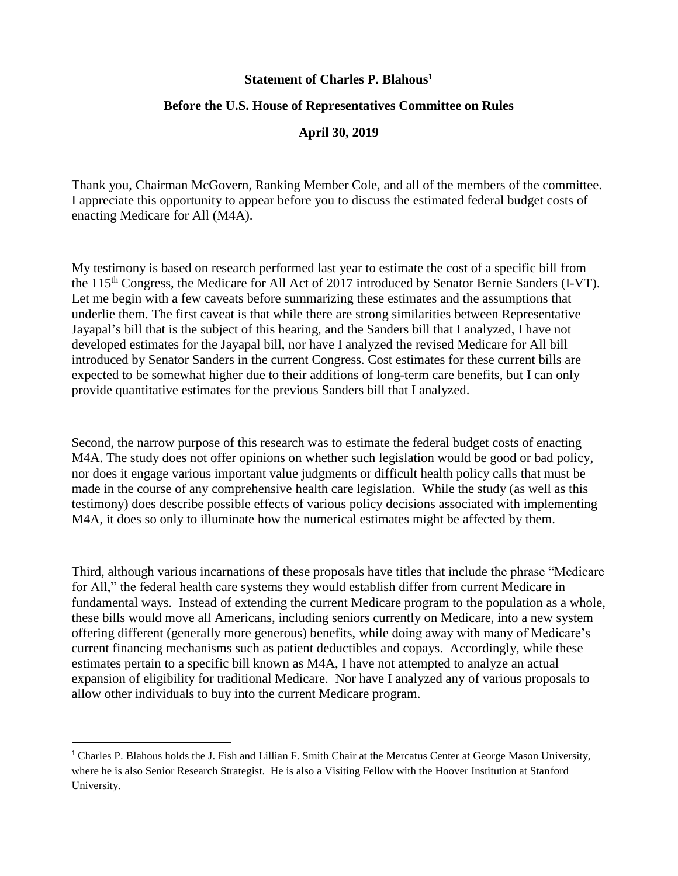#### **Statement of Charles P. Blahous<sup>1</sup>**

## **Before the U.S. House of Representatives Committee on Rules**

## **April 30, 2019**

Thank you, Chairman McGovern, Ranking Member Cole, and all of the members of the committee. I appreciate this opportunity to appear before you to discuss the estimated federal budget costs of enacting Medicare for All (M4A).

My testimony is based on research performed last year to estimate the cost of a specific bill from the 115th Congress, the Medicare for All Act of 2017 introduced by Senator Bernie Sanders (I-VT). Let me begin with a few caveats before summarizing these estimates and the assumptions that underlie them. The first caveat is that while there are strong similarities between Representative Jayapal's bill that is the subject of this hearing, and the Sanders bill that I analyzed, I have not developed estimates for the Jayapal bill, nor have I analyzed the revised Medicare for All bill introduced by Senator Sanders in the current Congress. Cost estimates for these current bills are expected to be somewhat higher due to their additions of long-term care benefits, but I can only provide quantitative estimates for the previous Sanders bill that I analyzed.

Second, the narrow purpose of this research was to estimate the federal budget costs of enacting M4A. The study does not offer opinions on whether such legislation would be good or bad policy, nor does it engage various important value judgments or difficult health policy calls that must be made in the course of any comprehensive health care legislation. While the study (as well as this testimony) does describe possible effects of various policy decisions associated with implementing M4A, it does so only to illuminate how the numerical estimates might be affected by them.

Third, although various incarnations of these proposals have titles that include the phrase "Medicare for All," the federal health care systems they would establish differ from current Medicare in fundamental ways. Instead of extending the current Medicare program to the population as a whole, these bills would move all Americans, including seniors currently on Medicare, into a new system offering different (generally more generous) benefits, while doing away with many of Medicare's current financing mechanisms such as patient deductibles and copays. Accordingly, while these estimates pertain to a specific bill known as M4A, I have not attempted to analyze an actual expansion of eligibility for traditional Medicare. Nor have I analyzed any of various proposals to allow other individuals to buy into the current Medicare program.

 $\overline{a}$ 

<sup>1</sup> Charles P. Blahous holds the J. Fish and Lillian F. Smith Chair at the Mercatus Center at George Mason University, where he is also Senior Research Strategist. He is also a Visiting Fellow with the Hoover Institution at Stanford University.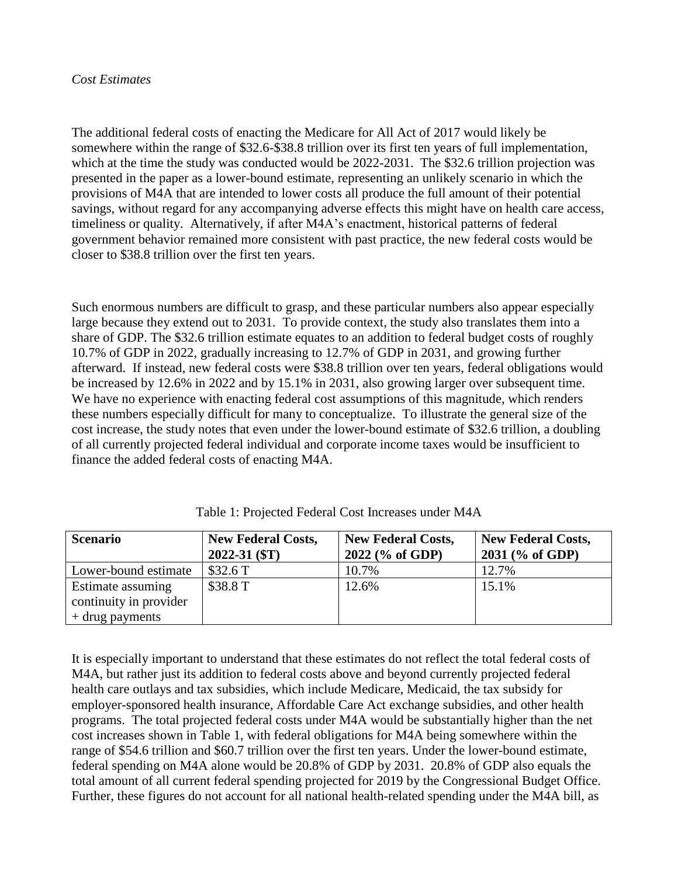## *Cost Estimates*

The additional federal costs of enacting the Medicare for All Act of 2017 would likely be somewhere within the range of \$32.6-\$38.8 trillion over its first ten years of full implementation, which at the time the study was conducted would be 2022-2031. The \$32.6 trillion projection was presented in the paper as a lower-bound estimate, representing an unlikely scenario in which the provisions of M4A that are intended to lower costs all produce the full amount of their potential savings, without regard for any accompanying adverse effects this might have on health care access, timeliness or quality. Alternatively, if after M4A's enactment, historical patterns of federal government behavior remained more consistent with past practice, the new federal costs would be closer to \$38.8 trillion over the first ten years.

Such enormous numbers are difficult to grasp, and these particular numbers also appear especially large because they extend out to 2031. To provide context, the study also translates them into a share of GDP. The \$32.6 trillion estimate equates to an addition to federal budget costs of roughly 10.7% of GDP in 2022, gradually increasing to 12.7% of GDP in 2031, and growing further afterward. If instead, new federal costs were \$38.8 trillion over ten years, federal obligations would be increased by 12.6% in 2022 and by 15.1% in 2031, also growing larger over subsequent time. We have no experience with enacting federal cost assumptions of this magnitude, which renders these numbers especially difficult for many to conceptualize. To illustrate the general size of the cost increase, the study notes that even under the lower-bound estimate of \$32.6 trillion, a doubling of all currently projected federal individual and corporate income taxes would be insufficient to finance the added federal costs of enacting M4A.

| <b>Scenario</b>        | <b>New Federal Costs,</b> | <b>New Federal Costs,</b> | <b>New Federal Costs,</b> |
|------------------------|---------------------------|---------------------------|---------------------------|
|                        | $2022 - 31$ (\$T)         | 2022 (% of GDP)           | $2031$ (% of GDP)         |
| Lower-bound estimate   | \$32.6T                   | 10.7%                     | 12.7%                     |
| Estimate assuming      | \$38.8 T                  | 12.6%                     | 15.1%                     |
| continuity in provider |                           |                           |                           |
| $+$ drug payments      |                           |                           |                           |

Table 1: Projected Federal Cost Increases under M4A

It is especially important to understand that these estimates do not reflect the total federal costs of M4A, but rather just its addition to federal costs above and beyond currently projected federal health care outlays and tax subsidies, which include Medicare, Medicaid, the tax subsidy for employer-sponsored health insurance, Affordable Care Act exchange subsidies, and other health programs. The total projected federal costs under M4A would be substantially higher than the net cost increases shown in Table 1, with federal obligations for M4A being somewhere within the range of \$54.6 trillion and \$60.7 trillion over the first ten years. Under the lower-bound estimate, federal spending on M4A alone would be 20.8% of GDP by 2031. 20.8% of GDP also equals the total amount of all current federal spending projected for 2019 by the Congressional Budget Office. Further, these figures do not account for all national health-related spending under the M4A bill, as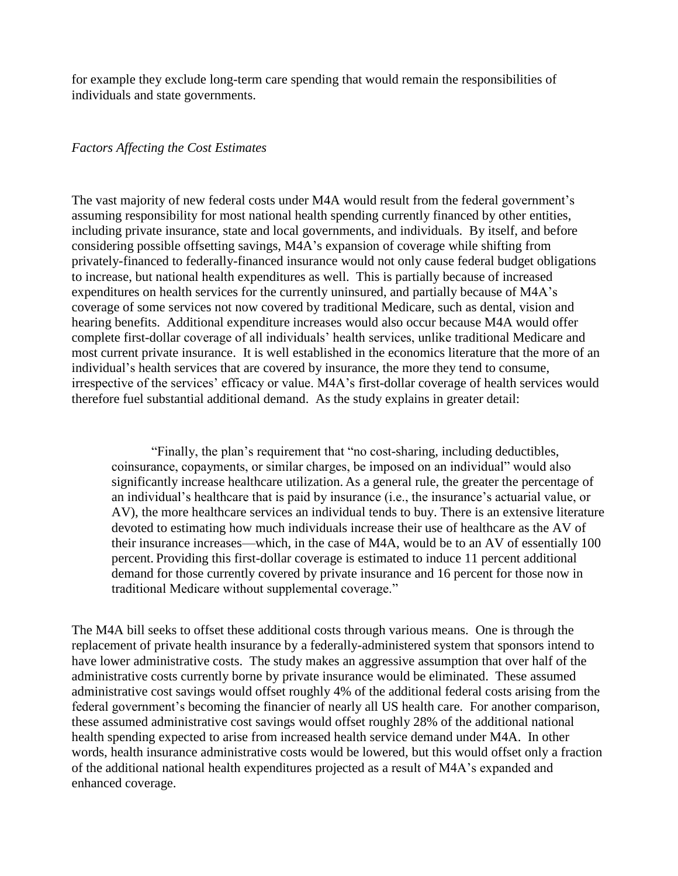for example they exclude long-term care spending that would remain the responsibilities of individuals and state governments.

#### *Factors Affecting the Cost Estimates*

The vast majority of new federal costs under M4A would result from the federal government's assuming responsibility for most national health spending currently financed by other entities, including private insurance, state and local governments, and individuals. By itself, and before considering possible offsetting savings, M4A's expansion of coverage while shifting from privately-financed to federally-financed insurance would not only cause federal budget obligations to increase, but national health expenditures as well. This is partially because of increased expenditures on health services for the currently uninsured, and partially because of M4A's coverage of some services not now covered by traditional Medicare, such as dental, vision and hearing benefits. Additional expenditure increases would also occur because M4A would offer complete first-dollar coverage of all individuals' health services, unlike traditional Medicare and most current private insurance. It is well established in the economics literature that the more of an individual's health services that are covered by insurance, the more they tend to consume, irrespective of the services' efficacy or value. M4A's first-dollar coverage of health services would therefore fuel substantial additional demand. As the study explains in greater detail:

"Finally, the plan's requirement that "no cost-sharing, including deductibles, coinsurance, copayments, or similar charges, be imposed on an individual" would also significantly increase healthcare utilization. As a general rule, the greater the percentage of an individual's healthcare that is paid by insurance (i.e., the insurance's actuarial value, or AV), the more healthcare services an individual tends to buy. There is an extensive literature devoted to estimating how much individuals increase their use of healthcare as the AV of their insurance increases—which, in the case of M4A, would be to an AV of essentially 100 percent. Providing this first-dollar coverage is estimated to induce 11 percent additional demand for those currently covered by private insurance and 16 percent for those now in traditional Medicare without supplemental coverage."

The M4A bill seeks to offset these additional costs through various means. One is through the replacement of private health insurance by a federally-administered system that sponsors intend to have lower administrative costs. The study makes an aggressive assumption that over half of the administrative costs currently borne by private insurance would be eliminated. These assumed administrative cost savings would offset roughly 4% of the additional federal costs arising from the federal government's becoming the financier of nearly all US health care. For another comparison, these assumed administrative cost savings would offset roughly 28% of the additional national health spending expected to arise from increased health service demand under M4A. In other words, health insurance administrative costs would be lowered, but this would offset only a fraction of the additional national health expenditures projected as a result of M4A's expanded and enhanced coverage.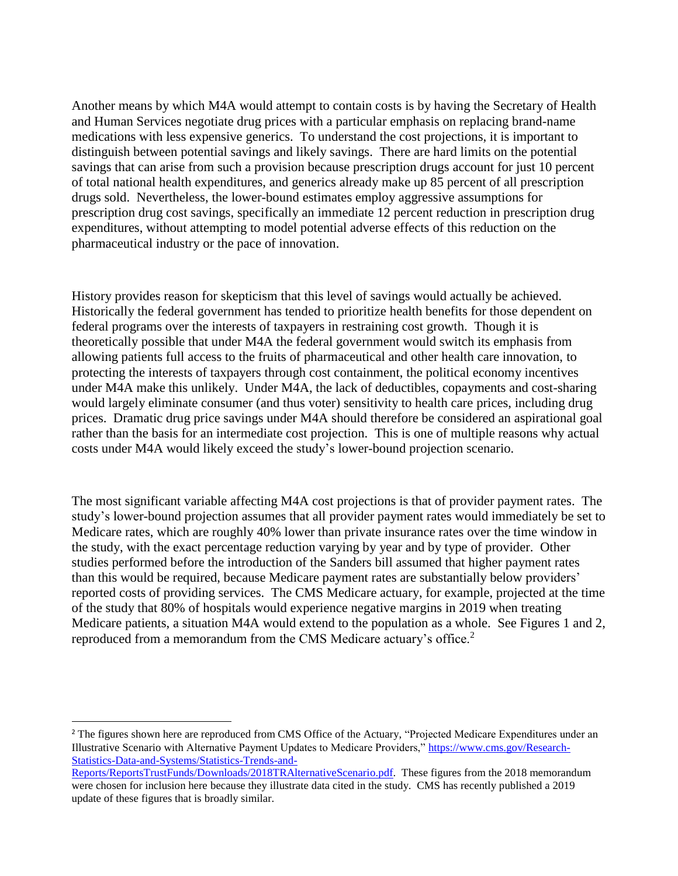Another means by which M4A would attempt to contain costs is by having the Secretary of Health and Human Services negotiate drug prices with a particular emphasis on replacing brand-name medications with less expensive generics. To understand the cost projections, it is important to distinguish between potential savings and likely savings. There are hard limits on the potential savings that can arise from such a provision because prescription drugs account for just 10 percent of total national health expenditures, and generics already make up 85 percent of all prescription drugs sold. Nevertheless, the lower-bound estimates employ aggressive assumptions for prescription drug cost savings, specifically an immediate 12 percent reduction in prescription drug expenditures, without attempting to model potential adverse effects of this reduction on the pharmaceutical industry or the pace of innovation.

History provides reason for skepticism that this level of savings would actually be achieved. Historically the federal government has tended to prioritize health benefits for those dependent on federal programs over the interests of taxpayers in restraining cost growth. Though it is theoretically possible that under M4A the federal government would switch its emphasis from allowing patients full access to the fruits of pharmaceutical and other health care innovation, to protecting the interests of taxpayers through cost containment, the political economy incentives under M4A make this unlikely. Under M4A, the lack of deductibles, copayments and cost-sharing would largely eliminate consumer (and thus voter) sensitivity to health care prices, including drug prices. Dramatic drug price savings under M4A should therefore be considered an aspirational goal rather than the basis for an intermediate cost projection. This is one of multiple reasons why actual costs under M4A would likely exceed the study's lower-bound projection scenario.

The most significant variable affecting M4A cost projections is that of provider payment rates. The study's lower-bound projection assumes that all provider payment rates would immediately be set to Medicare rates, which are roughly 40% lower than private insurance rates over the time window in the study, with the exact percentage reduction varying by year and by type of provider. Other studies performed before the introduction of the Sanders bill assumed that higher payment rates than this would be required, because Medicare payment rates are substantially below providers' reported costs of providing services. The CMS Medicare actuary, for example, projected at the time of the study that 80% of hospitals would experience negative margins in 2019 when treating Medicare patients, a situation M4A would extend to the population as a whole. See Figures 1 and 2, reproduced from a memorandum from the CMS Medicare actuary's office.<sup>2</sup>

 $\overline{a}$ 

<sup>&</sup>lt;sup>2</sup> The figures shown here are reproduced from CMS Office of the Actuary, "Projected Medicare Expenditures under an Illustrative Scenario with Alternative Payment Updates to Medicare Providers," [https://www.cms.gov/Research-](https://www.cms.gov/Research-Statistics-Data-and-Systems/Statistics-Trends-and-Reports/ReportsTrustFunds/Downloads/2018TRAlternativeScenario.pdf)[Statistics-Data-and-Systems/Statistics-Trends-and-](https://www.cms.gov/Research-Statistics-Data-and-Systems/Statistics-Trends-and-Reports/ReportsTrustFunds/Downloads/2018TRAlternativeScenario.pdf)

[Reports/ReportsTrustFunds/Downloads/2018TRAlternativeScenario.pdf.](https://www.cms.gov/Research-Statistics-Data-and-Systems/Statistics-Trends-and-Reports/ReportsTrustFunds/Downloads/2018TRAlternativeScenario.pdf) These figures from the 2018 memorandum were chosen for inclusion here because they illustrate data cited in the study. CMS has recently published a 2019 update of these figures that is broadly similar.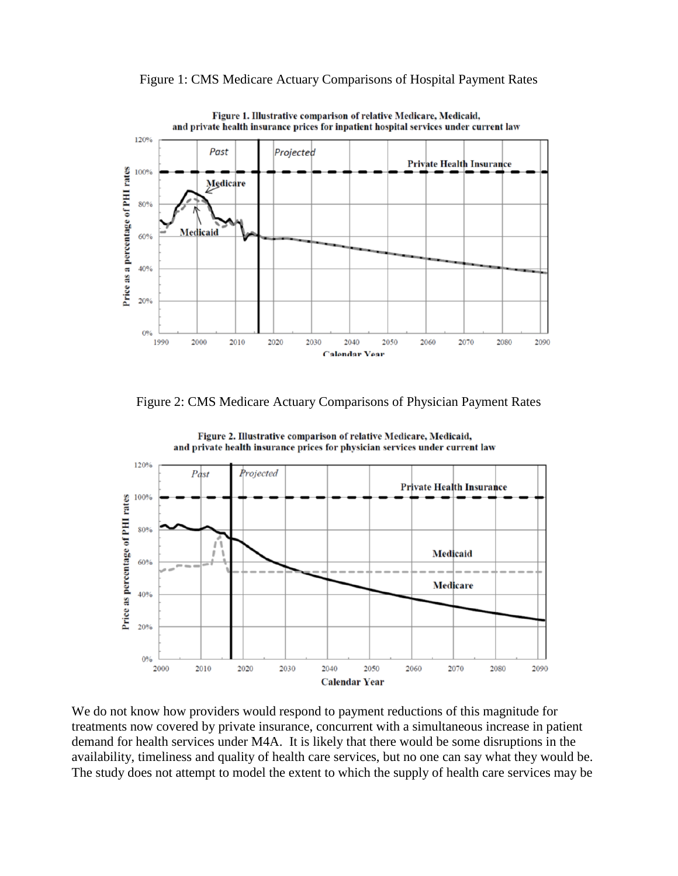

Figure 1: CMS Medicare Actuary Comparisons of Hospital Payment Rates

Figure 2: CMS Medicare Actuary Comparisons of Physician Payment Rates



Figure 2. Illustrative comparison of relative Medicare, Medicaid, and private health insurance prices for physician services under current law

We do not know how providers would respond to payment reductions of this magnitude for treatments now covered by private insurance, concurrent with a simultaneous increase in patient demand for health services under M4A. It is likely that there would be some disruptions in the availability, timeliness and quality of health care services, but no one can say what they would be. The study does not attempt to model the extent to which the supply of health care services may be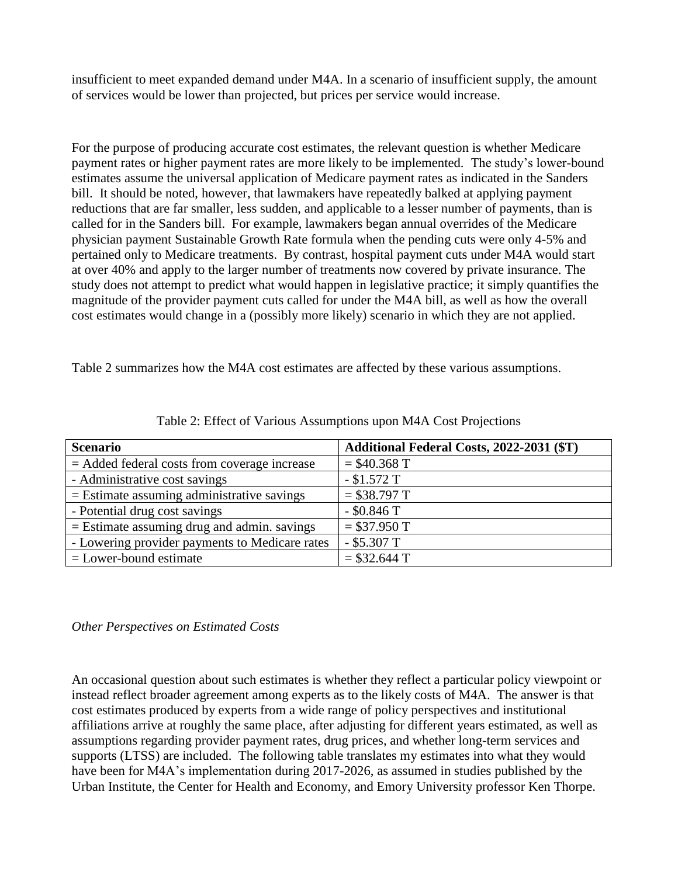insufficient to meet expanded demand under M4A. In a scenario of insufficient supply, the amount of services would be lower than projected, but prices per service would increase.

For the purpose of producing accurate cost estimates, the relevant question is whether Medicare payment rates or higher payment rates are more likely to be implemented. The study's lower-bound estimates assume the universal application of Medicare payment rates as indicated in the Sanders bill. It should be noted, however, that lawmakers have repeatedly balked at applying payment reductions that are far smaller, less sudden, and applicable to a lesser number of payments, than is called for in the Sanders bill. For example, lawmakers began annual overrides of the Medicare physician payment Sustainable Growth Rate formula when the pending cuts were only 4-5% and pertained only to Medicare treatments. By contrast, hospital payment cuts under M4A would start at over 40% and apply to the larger number of treatments now covered by private insurance. The study does not attempt to predict what would happen in legislative practice; it simply quantifies the magnitude of the provider payment cuts called for under the M4A bill, as well as how the overall cost estimates would change in a (possibly more likely) scenario in which they are not applied.

Table 2 summarizes how the M4A cost estimates are affected by these various assumptions.

| <b>Scenario</b>                                | Additional Federal Costs, 2022-2031 (\$T) |  |
|------------------------------------------------|-------------------------------------------|--|
| $=$ Added federal costs from coverage increase | $=$ \$40.368 T                            |  |
| - Administrative cost savings                  | $-$ \$1.572 T                             |  |
| $=$ Estimate assuming administrative savings   | $= $38.797$ T                             |  |
| - Potential drug cost savings                  | $-$ \$0.846 T                             |  |
| $=$ Estimate assuming drug and admin. savings  | $= $37.950$ T                             |  |
| - Lowering provider payments to Medicare rates | $-$ \$5.307 T                             |  |
| $=$ Lower-bound estimate                       | $= $32.644$ T                             |  |

Table 2: Effect of Various Assumptions upon M4A Cost Projections

# *Other Perspectives on Estimated Costs*

An occasional question about such estimates is whether they reflect a particular policy viewpoint or instead reflect broader agreement among experts as to the likely costs of M4A. The answer is that cost estimates produced by experts from a wide range of policy perspectives and institutional affiliations arrive at roughly the same place, after adjusting for different years estimated, as well as assumptions regarding provider payment rates, drug prices, and whether long-term services and supports (LTSS) are included. The following table translates my estimates into what they would have been for M4A's implementation during 2017-2026, as assumed in studies published by the Urban Institute, the Center for Health and Economy, and Emory University professor Ken Thorpe.